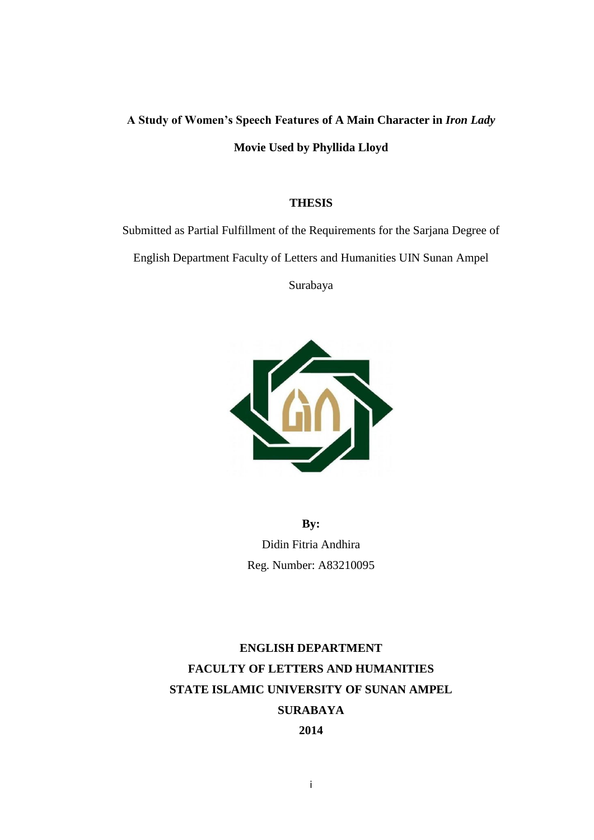# **A Study of Women's Speech Features of A Main Character in** *Iron Lady* **Movie Used by Phyllida Lloyd**

#### **THESIS**

Submitted as Partial Fulfillment of the Requirements for the Sarjana Degree of

English Department Faculty of Letters and Humanities UIN Sunan Ampel

Surabaya



**By:** Didin Fitria Andhira Reg. Number: A83210095

# **ENGLISH DEPARTMENT FACULTY OF LETTERS AND HUMANITIES STATE ISLAMIC UNIVERSITY OF SUNAN AMPEL SURABAYA 2014**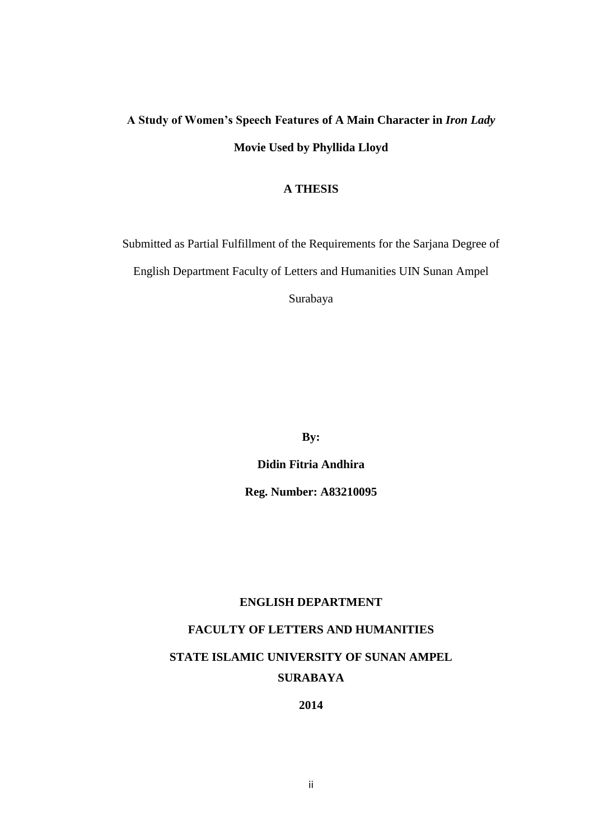# **A Study of Women's Speech Features of A Main Character in** *Iron Lady*  **Movie Used by Phyllida Lloyd**

#### **A THESIS**

Submitted as Partial Fulfillment of the Requirements for the Sarjana Degree of English Department Faculty of Letters and Humanities UIN Sunan Ampel Surabaya

**By:**

**Didin Fitria Andhira Reg. Number: A83210095**

### **ENGLISH DEPARTMENT**

### **FACULTY OF LETTERS AND HUMANITIES**

# **STATE ISLAMIC UNIVERSITY OF SUNAN AMPEL SURABAYA**

**2014**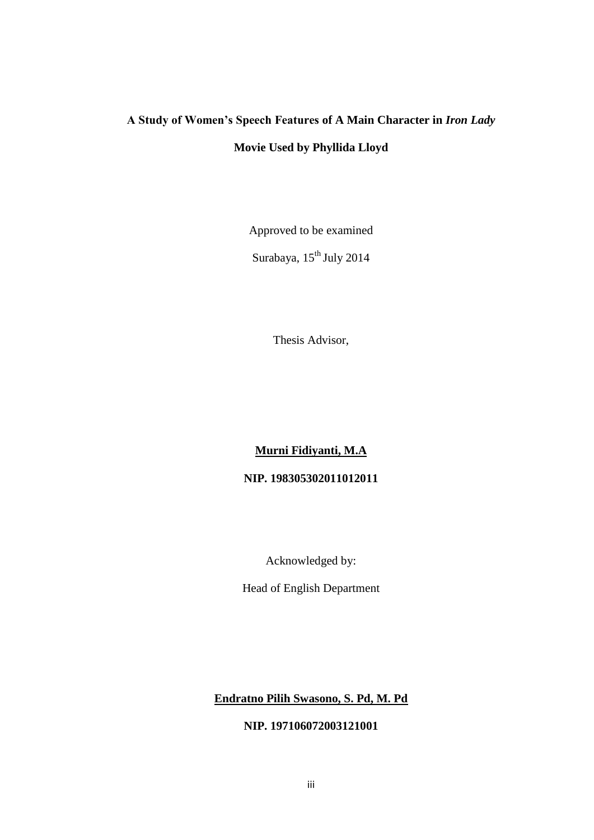# **A Study of Women's Speech Features of A Main Character in** *Iron Lady*  **Movie Used by Phyllida Lloyd**

Approved to be examined

Surabaya, 15<sup>th</sup> July 2014

Thesis Advisor,

## **Murni Fidiyanti, M.A**

### **NIP. 198305302011012011**

Acknowledged by:

Head of English Department

## **Endratno Pilih Swasono, S. Pd, M. Pd**

### **NIP. 197106072003121001**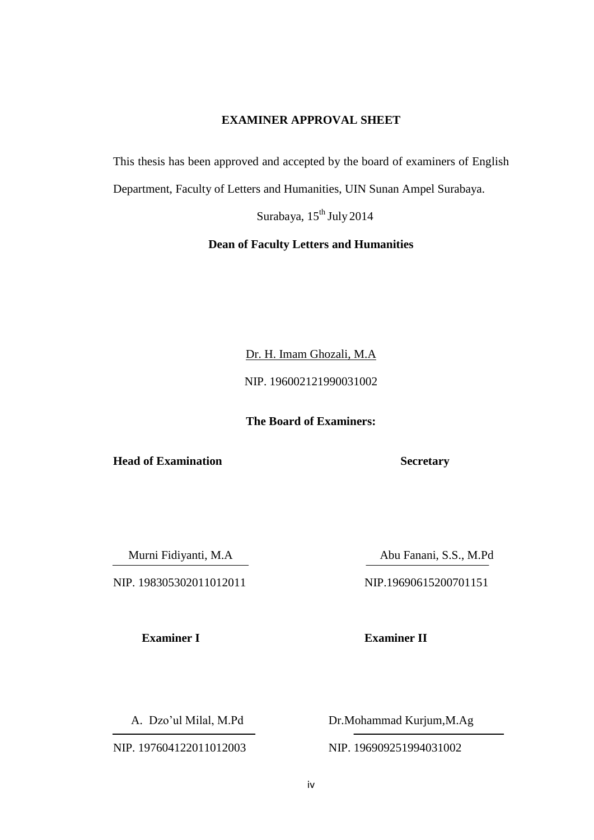### **EXAMINER APPROVAL SHEET**

This thesis has been approved and accepted by the board of examiners of English

Department, Faculty of Letters and Humanities, UIN Sunan Ampel Surabaya.

Surabaya, 15<sup>th</sup> July 2014

### **Dean of Faculty Letters and Humanities**

Dr. H. Imam Ghozali, M.A

NIP. 196002121990031002

**The Board of Examiners:**

**Head of Examination Secretary**

NIP. 198305302011012011 NIP.19690615200701151

Murni Fidiyanti, M.A Abu Fanani, S.S., M.Pd

**Examiner I Examiner II**

NIP. 197604122011012003 NIP. 196909251994031002

A. Dzo'ul Milal, M.Pd Dr.Mohammad Kurjum, M.Ag